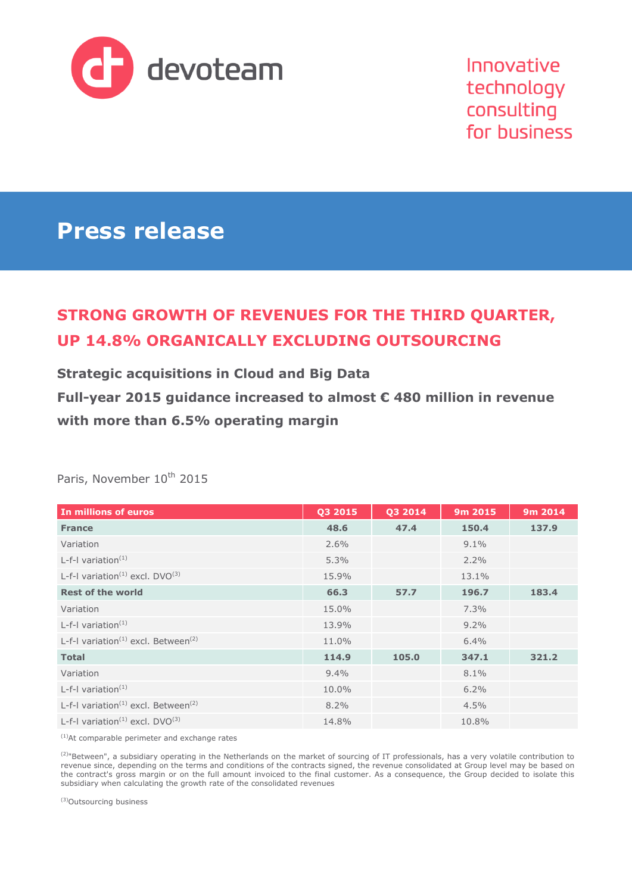

Innovative technology consulting for business

# **Press release**

## **STRONG GROWTH OF REVENUES FOR THE THIRD QUARTER, UP 14.8% ORGANICALLY EXCLUDING OUTSOURCING**

**Strategic acquisitions in Cloud and Big Data Full-year 2015 guidance increased to almost € 480 million in revenue with more than 6.5% operating margin**

| In millions of euros                                        | Q3 2015 | Q3 2014 | 9m 2015 | 9m 2014 |
|-------------------------------------------------------------|---------|---------|---------|---------|
| <b>France</b>                                               | 48.6    | 47.4    | 150.4   | 137.9   |
| Variation                                                   | 2.6%    |         | $9.1\%$ |         |
| L-f-I variation $(1)$                                       | 5.3%    |         | $2.2\%$ |         |
| L-f-I variation <sup>(1)</sup> excl. $DVO^{(3)}$            | 15.9%   |         | 13.1%   |         |
| <b>Rest of the world</b>                                    | 66.3    | 57.7    | 196.7   | 183.4   |
| Variation                                                   | 15.0%   |         | 7.3%    |         |
| L-f-I variation $(1)$                                       | 13.9%   |         | $9.2\%$ |         |
| L-f-I variation <sup>(1)</sup> excl. Between <sup>(2)</sup> | 11.0%   |         | 6.4%    |         |
| <b>Total</b>                                                | 114.9   | 105.0   | 347.1   | 321.2   |
| Variation                                                   | 9.4%    |         | 8.1%    |         |
| L-f-I variation $(1)$                                       | 10.0%   |         | 6.2%    |         |
| L-f-I variation <sup>(1)</sup> excl. Between <sup>(2)</sup> | 8.2%    |         | 4.5%    |         |
| L-f-I variation <sup>(1)</sup> excl. $DVO^{(3)}$            | 14.8%   |         | 10.8%   |         |

Paris, November 10<sup>th</sup> 2015

(1)At comparable perimeter and exchange rates

 $^{(2)}$ "Between", a subsidiary operating in the Netherlands on the market of sourcing of IT professionals, has a very volatile contribution to revenue since, depending on the terms and conditions of the contracts signed, the revenue consolidated at Group level may be based on the contract's gross margin or on the full amount invoiced to the final customer. As a consequence, the Group decided to isolate this subsidiary when calculating the growth rate of the consolidated revenues

(3) Outsourcing business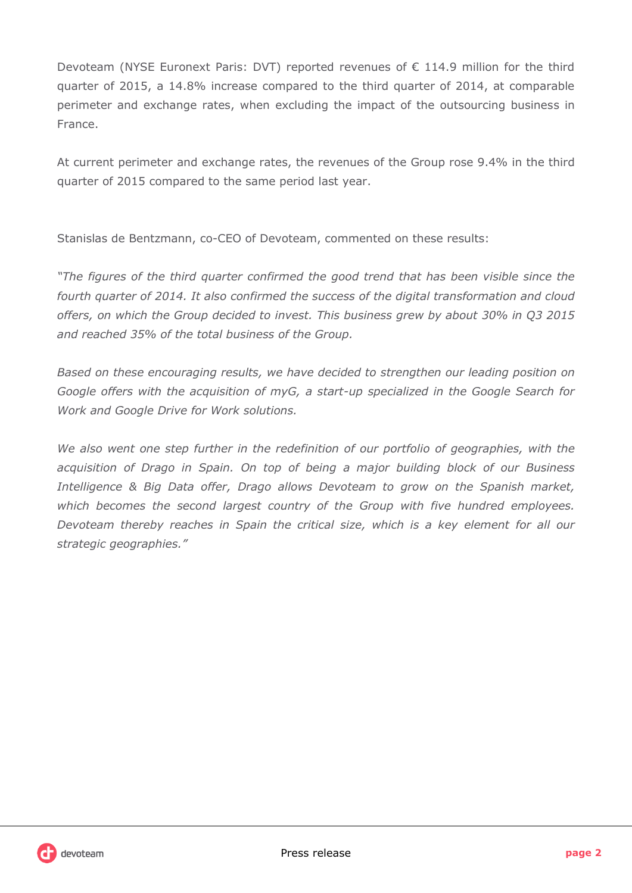Devoteam (NYSE Euronext Paris: DVT) reported revenues of € 114.9 million for the third quarter of 2015, a 14.8% increase compared to the third quarter of 2014, at comparable perimeter and exchange rates, when excluding the impact of the outsourcing business in France.

At current perimeter and exchange rates, the revenues of the Group rose 9.4% in the third quarter of 2015 compared to the same period last year.

Stanislas de Bentzmann, co-CEO of Devoteam, commented on these results:

*"The figures of the third quarter confirmed the good trend that has been visible since the fourth quarter of 2014. It also confirmed the success of the digital transformation and cloud offers, on which the Group decided to invest. This business grew by about 30% in Q3 2015 and reached 35% of the total business of the Group.* 

*Based on these encouraging results, we have decided to strengthen our leading position on Google offers with the acquisition of myG, a start-up specialized in the Google Search for Work and Google Drive for Work solutions.* 

*We also went one step further in the redefinition of our portfolio of geographies, with the acquisition of Drago in Spain. On top of being a major building block of our Business Intelligence & Big Data offer, Drago allows Devoteam to grow on the Spanish market, which becomes the second largest country of the Group with five hundred employees. Devoteam thereby reaches in Spain the critical size, which is a key element for all our strategic geographies."*

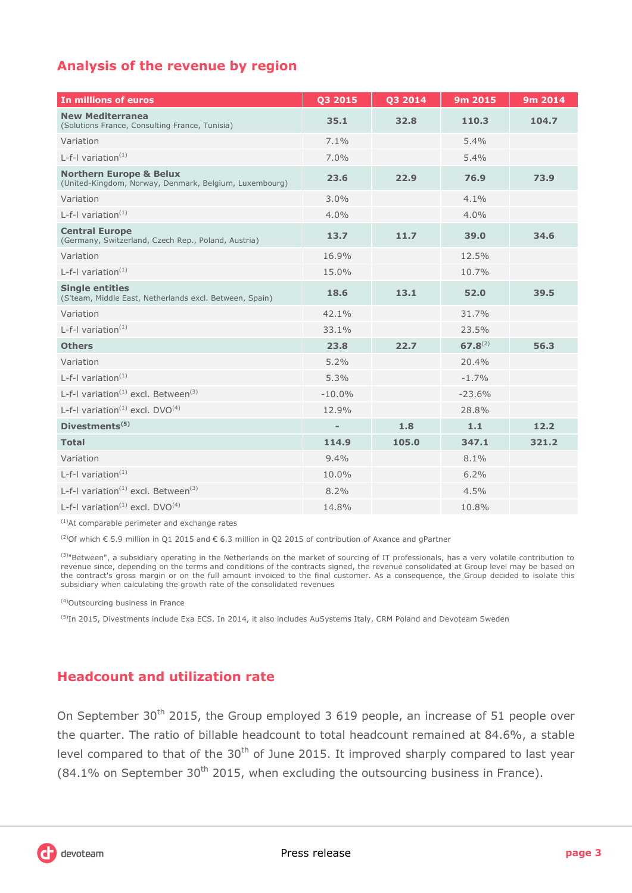## **Analysis of the revenue by region**

| In millions of euros                                                                         | Q3 2015                  | Q3 2014 | 9m 2015      | 9m 2014 |
|----------------------------------------------------------------------------------------------|--------------------------|---------|--------------|---------|
| <b>New Mediterranea</b><br>(Solutions France, Consulting France, Tunisia)                    | 35.1                     | 32.8    | 110.3        | 104.7   |
| Variation                                                                                    | 7.1%                     |         | 5.4%         |         |
| L-f-I variation $(1)$                                                                        | 7.0%                     |         | 5.4%         |         |
| <b>Northern Europe &amp; Belux</b><br>(United-Kingdom, Norway, Denmark, Belgium, Luxembourg) | 23.6                     | 22.9    | 76.9         | 73.9    |
| Variation                                                                                    | 3.0%                     |         | 4.1%         |         |
| L-f-I variation $(1)$                                                                        | 4.0%                     |         | 4.0%         |         |
| <b>Central Europe</b><br>(Germany, Switzerland, Czech Rep., Poland, Austria)                 | 13.7                     | 11.7    | 39.0         | 34.6    |
| Variation                                                                                    | 16.9%                    |         | 12.5%        |         |
| L-f-I variation $(1)$                                                                        | 15.0%                    |         | 10.7%        |         |
| <b>Single entities</b><br>(S'team, Middle East, Netherlands excl. Between, Spain)            | 18.6                     | 13.1    | 52.0         | 39.5    |
| Variation                                                                                    | 42.1%                    |         | 31.7%        |         |
| L-f-I variation $(1)$                                                                        | 33.1%                    |         | 23.5%        |         |
| <b>Others</b>                                                                                | 23.8                     | 22.7    | $67.8^{(2)}$ | 56.3    |
| Variation                                                                                    | 5.2%                     |         | 20.4%        |         |
| L-f-I variation $(1)$                                                                        | 5.3%                     |         | $-1.7%$      |         |
| L-f-I variation <sup>(1)</sup> excl. Between <sup>(3)</sup>                                  | $-10.0%$                 |         | $-23.6%$     |         |
| L-f-I variation <sup>(1)</sup> excl. $DVO(4)$                                                | 12.9%                    |         | 28.8%        |         |
| Divestments <sup>(5)</sup>                                                                   | $\overline{\phantom{a}}$ | 1.8     | 1.1          | 12.2    |
| <b>Total</b>                                                                                 | 114.9                    | 105.0   | 347.1        | 321.2   |
| Variation                                                                                    | 9.4%                     |         | 8.1%         |         |
| $L-f-1$ variation <sup>(1)</sup>                                                             | 10.0%                    |         | 6.2%         |         |
| L-f-I variation <sup><math>(1)</math></sup> excl. Between <sup><math>(3)</math></sup>        | 8.2%                     |         | 4.5%         |         |
| L-f-I variation <sup>(1)</sup> excl. $DVO(4)$                                                | 14.8%                    |         | 10.8%        |         |

(1)At comparable perimeter and exchange rates

(2)Of which € 5.9 million in Q1 2015 and € 6.3 million in Q2 2015 of contribution of Axance and gPartner

<sup>(3)</sup>"Between", a subsidiary operating in the Netherlands on the market of sourcing of IT professionals, has a very volatile contribution to revenue since, depending on the terms and conditions of the contracts signed, the revenue consolidated at Group level may be based on the contract's gross margin or on the full amount invoiced to the final customer. As a consequence, the Group decided to isolate this subsidiary when calculating the growth rate of the consolidated revenues

(4)Outsourcing business in France

<sup>(5)</sup>In 2015, Divestments include Exa ECS. In 2014, it also includes AuSystems Italy, CRM Poland and Devoteam Sweden

## **Headcount and utilization rate**

On September 30<sup>th</sup> 2015, the Group employed 3 619 people, an increase of 51 people over the quarter. The ratio of billable headcount to total headcount remained at 84.6%, a stable level compared to that of the  $30<sup>th</sup>$  of June 2015. It improved sharply compared to last year  $(84.1\%$  on September 30<sup>th</sup> 2015, when excluding the outsourcing business in France).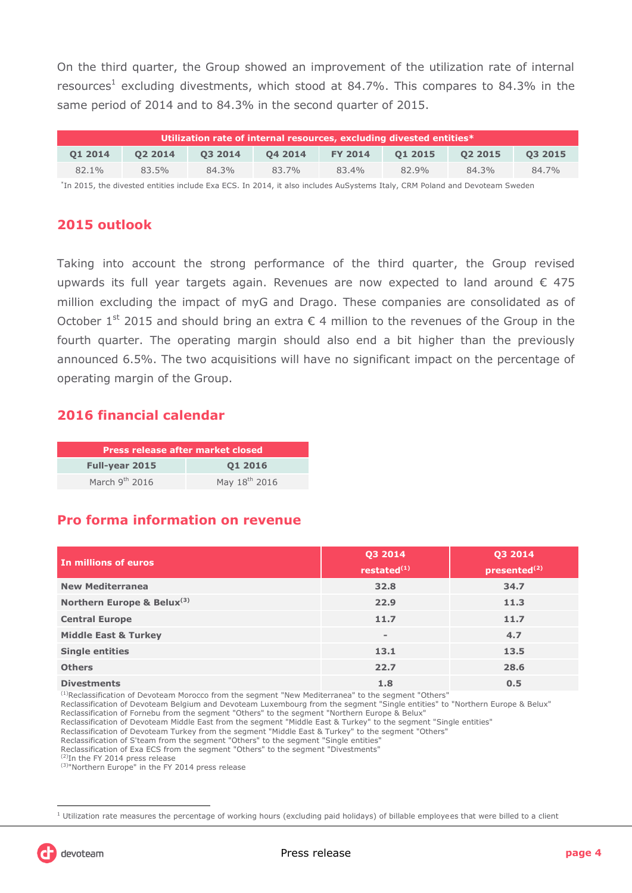On the third quarter, the Group showed an improvement of the utilization rate of internal resources<sup>1</sup> excluding divestments, which stood at 84.7%. This compares to 84.3% in the same period of 2014 and to 84.3% in the second quarter of 2015.

| Utilization rate of internal resources, excluding divested entities* |         |         |         |                |         |         |         |
|----------------------------------------------------------------------|---------|---------|---------|----------------|---------|---------|---------|
| 01 2014                                                              | 02 2014 | 03 2014 | 04 2014 | <b>FY 2014</b> | 01 2015 | 02 2015 | 03 2015 |
| 82.1%                                                                | 83.5%   | 84.3%   | 83.7%   | 83.4%          | 82.9%   | 84.3%   | 84.7%   |
|                                                                      |         |         |         |                |         |         |         |

\* In 2015, the divested entities include Exa ECS. In 2014, it also includes AuSystems Italy, CRM Poland and Devoteam Sweden

## **2015 outlook**

Taking into account the strong performance of the third quarter, the Group revised upwards its full year targets again. Revenues are now expected to land around  $\epsilon$  475 million excluding the impact of myG and Drago. These companies are consolidated as of October 1<sup>st</sup> 2015 and should bring an extra  $\epsilon$  4 million to the revenues of the Group in the fourth quarter. The operating margin should also end a bit higher than the previously announced 6.5%. The two acquisitions will have no significant impact on the percentage of operating margin of the Group.

## **2016 financial calendar**

| Press release after market closed |                           |  |  |  |
|-----------------------------------|---------------------------|--|--|--|
| <b>Full-year 2015</b>             | 01 2016                   |  |  |  |
| March $9th$ 2016                  | May 18 <sup>th</sup> 2016 |  |  |  |

## **Pro forma information on revenue**

| In millions of euros            | Q3 2014<br>restated $(1)$ | Q3 2014<br>presented <sup>(2)</sup> |
|---------------------------------|---------------------------|-------------------------------------|
| <b>New Mediterranea</b>         | 32.8                      | 34.7                                |
| Northern Europe & Belux(3)      | 22.9                      | 11.3                                |
| <b>Central Europe</b>           | 11.7                      | 11.7                                |
| <b>Middle East &amp; Turkey</b> | $\overline{\phantom{a}}$  | 4.7                                 |
| <b>Single entities</b>          | 13.1                      | 13.5                                |
| <b>Others</b>                   | 22.7                      | 28.6                                |
| <b>Divestments</b>              | 1.8                       | 0.5                                 |

(1)Reclassification of Devoteam Morocco from the segment "New Mediterranea" to the segment "Others"

Reclassification of Devoteam Belgium and Devoteam Luxembourg from the segment "Single entities" to "Northern Europe & Belux"

Reclassification of Devoteam Middle East from the segment "Middle East & Turkey" to the segment "Single entities"

Reclassification of Exa ECS from the segment "Others" to the segment "Divestments"

 $1$  Utilization rate measures the percentage of working hours (excluding paid holidays) of billable employees that were billed to a client



 $\overline{a}$ 

Reclassification of Fornebu from the segment "Others" to the segment "Northern Europe & Belux"

Reclassification of Devoteam Turkey from the segment "Middle East & Turkey" to the segment "Others"

Reclassification of S'team from the segment "Others" to the segment "Single entities"

<sup>&</sup>lt;sup>(2)</sup>In the FY 2014 press release

<sup>(3)&</sup>quot;Northern Europe" in the FY 2014 press release